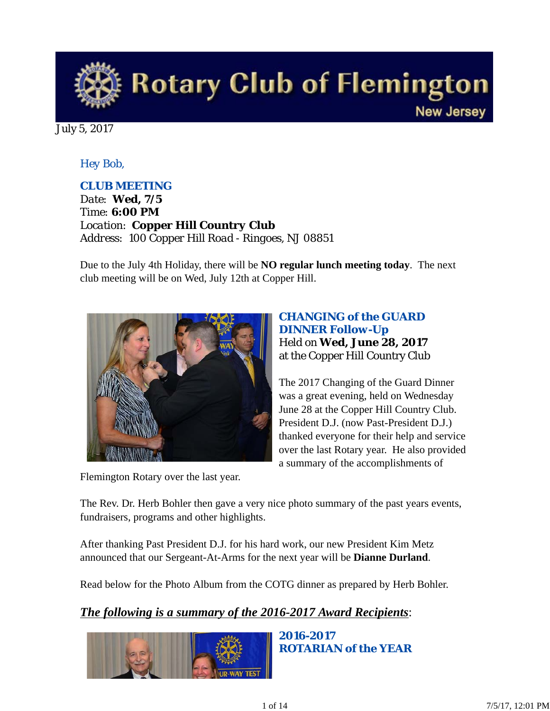

July 5, 2017

#### *Hey Bob,*

#### *CLUB MEETING*

*Date: Wed, 7/5 Time: 6:00 PM Location: Copper Hill Country Club Address: 100 Copper Hill Road - Ringoes, NJ 08851*

Due to the July 4th Holiday, there will be **NO regular lunch meeting today**. The next club meeting will be on Wed, July 12th at Copper Hill.



Flemington Rotary over the last year.

*CHANGING of the GUARD DINNER Follow-Up* Held on **Wed, June 28, 2017** at the Copper Hill Country Club

The 2017 Changing of the Guard Dinner was a great evening, held on Wednesday June 28 at the Copper Hill Country Club. President D.J. (now Past-President D.J.) thanked everyone for their help and service over the last Rotary year. He also provided a summary of the accomplishments of

The Rev. Dr. Herb Bohler then gave a very nice photo summary of the past years events, fundraisers, programs and other highlights.

After thanking Past President D.J. for his hard work, our new President Kim Metz announced that our Sergeant-At-Arms for the next year will be **Dianne Durland**.

Read below for the Photo Album from the COTG dinner as prepared by Herb Bohler.

## *The following is a summary of the 2016-2017 Award Recipients*:



*2016-2017 ROTARIAN of the YEAR*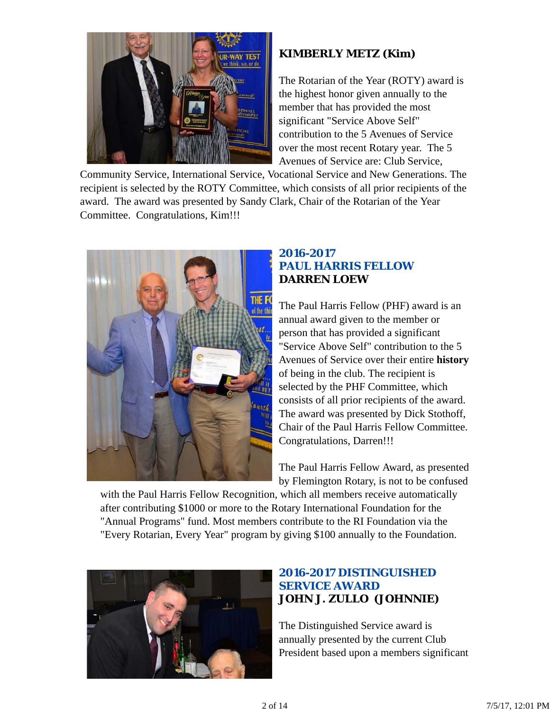

## **KIMBERLY METZ (Kim)**

The Rotarian of the Year (ROTY) award is the highest honor given annually to the member that has provided the most significant "Service Above Self" contribution to the 5 Avenues of Service over the most recent Rotary year. The 5 Avenues of Service are: Club Service,

Community Service, International Service, Vocational Service and New Generations. The recipient is selected by the ROTY Committee, which consists of all prior recipients of the award. The award was presented by Sandy Clark, Chair of the Rotarian of the Year Committee. Congratulations, Kim!!!



#### *2016-2017 PAUL HARRIS FELLOW* **DARREN LOEW**

The Paul Harris Fellow (PHF) award is an annual award given to the member or person that has provided a significant "Service Above Self" contribution to the 5 Avenues of Service over their entire **history** of being in the club. The recipient is selected by the PHF Committee, which consists of all prior recipients of the award. The award was presented by Dick Stothoff, Chair of the Paul Harris Fellow Committee. Congratulations, Darren!!!

The Paul Harris Fellow Award, as presented by Flemington Rotary, is not to be confused

with the Paul Harris Fellow Recognition, which all members receive automatically after contributing \$1000 or more to the Rotary International Foundation for the "Annual Programs" fund. Most members contribute to the RI Foundation via the "Every Rotarian, Every Year" program by giving \$100 annually to the Foundation.



## *2016-2017 DISTINGUISHED SERVICE AWARD* **JOHN J. ZULLO (JOHNNIE)**

The Distinguished Service award is annually presented by the current Club President based upon a members significant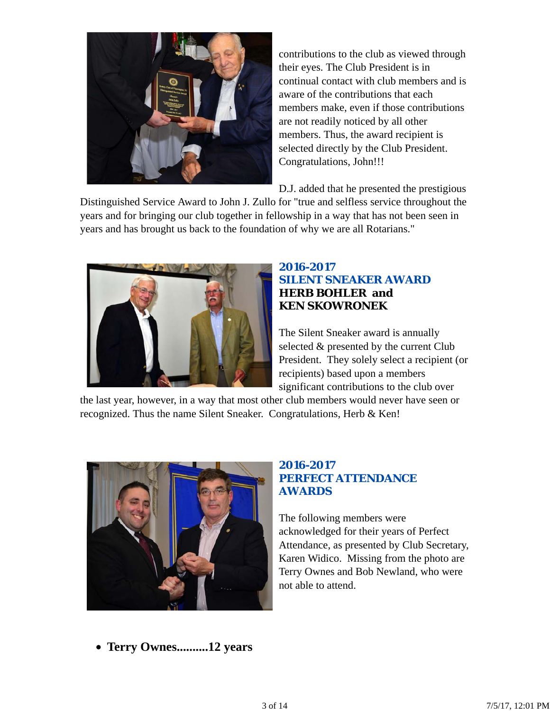

contributions to the club as viewed through their eyes. The Club President is in continual contact with club members and is aware of the contributions that each members make, even if those contributions are not readily noticed by all other members. Thus, the award recipient is selected directly by the Club President. Congratulations, John!!!

D.J. added that he presented the prestigious

Distinguished Service Award to John J. Zullo for "true and selfless service throughout the years and for bringing our club together in fellowship in a way that has not been seen in years and has brought us back to the foundation of why we are all Rotarians."



#### *2016-2017 SILENT SNEAKER AWARD* **HERB BOHLER and KEN SKOWRONEK**

The Silent Sneaker award is annually selected & presented by the current Club President. They solely select a recipient (or recipients) based upon a members significant contributions to the club over

the last year, however, in a way that most other club members would never have seen or recognized. Thus the name Silent Sneaker. Congratulations, Herb & Ken!



#### *2016-2017 PERFECT ATTENDANCE AWARDS*

The following members were acknowledged for their years of Perfect Attendance, as presented by Club Secretary, Karen Widico. Missing from the photo are Terry Ownes and Bob Newland, who were not able to attend.

**Terry Ownes..........12 years**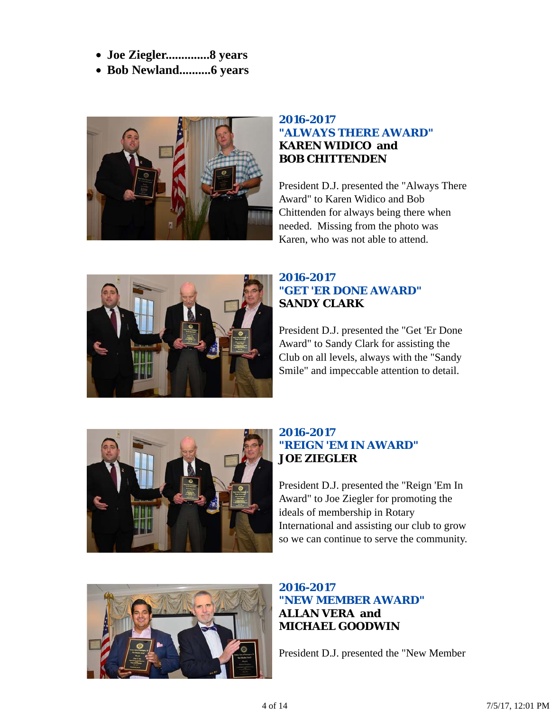- **Joe Ziegler..............8 years**
- **Bob Newland..........6 years**



#### *2016-2017 "ALWAYS THERE AWARD"* **KAREN WIDICO and BOB CHITTENDEN**

President D.J. presented the "Always There Award" to Karen Widico and Bob Chittenden for always being there when needed. Missing from the photo was Karen, who was not able to attend.



### *2016-2017 "GET 'ER DONE AWARD"* **SANDY CLARK**

President D.J. presented the "Get 'Er Done Award" to Sandy Clark for assisting the Club on all levels, always with the "Sandy Smile" and impeccable attention to detail.



## *2016-2017 "REIGN 'EM IN AWARD"* **JOE ZIEGLER**

President D.J. presented the "Reign 'Em In Award" to Joe Ziegler for promoting the ideals of membership in Rotary International and assisting our club to grow so we can continue to serve the community.



## *2016-2017 "NEW MEMBER AWARD"* **ALLAN VERA and MICHAEL GOODWIN**

President D.J. presented the "New Member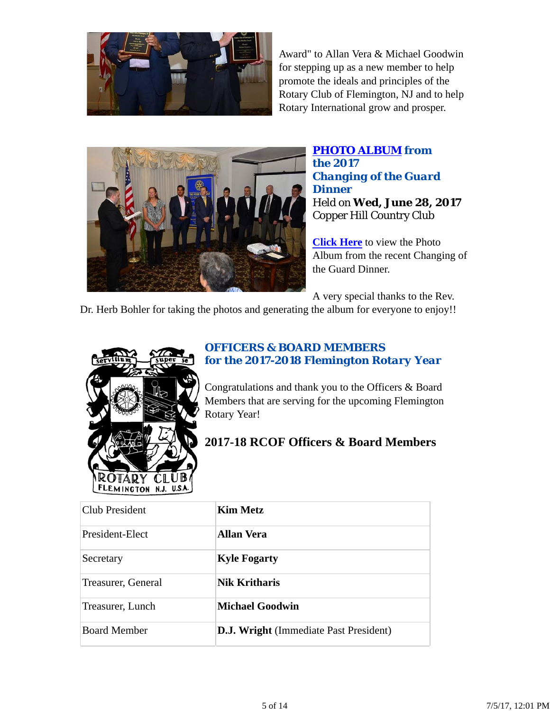

Award" to Allan Vera & Michael Goodwin for stepping up as a new member to help promote the ideals and principles of the Rotary Club of Flemington, NJ and to help Rotary International grow and prosper.



### *PHOTO ALBUM from the 2017 Changing of the Guard Dinner* Held on **Wed, June 28, 2017** Copper Hill Country Club

**Click Here** to view the Photo Album from the recent Changing of the Guard Dinner.

A very special thanks to the Rev.

Dr. Herb Bohler for taking the photos and generating the album for everyone to enjoy!!



## *OFFICERS & BOARD MEMBERS for the 2017-2018 Flemington Rotary Year*

Congratulations and thank you to the Officers & Board Members that are serving for the upcoming Flemington Rotary Year!

# **2017-18 RCOF Officers & Board Members**

| Club President      | <b>Kim Metz</b>                               |
|---------------------|-----------------------------------------------|
| President-Elect     | <b>Allan Vera</b>                             |
| Secretary           | <b>Kyle Fogarty</b>                           |
| Treasurer, General  | Nik Kritharis                                 |
| Treasurer, Lunch    | <b>Michael Goodwin</b>                        |
| <b>Board Member</b> | <b>D.J. Wright</b> (Immediate Past President) |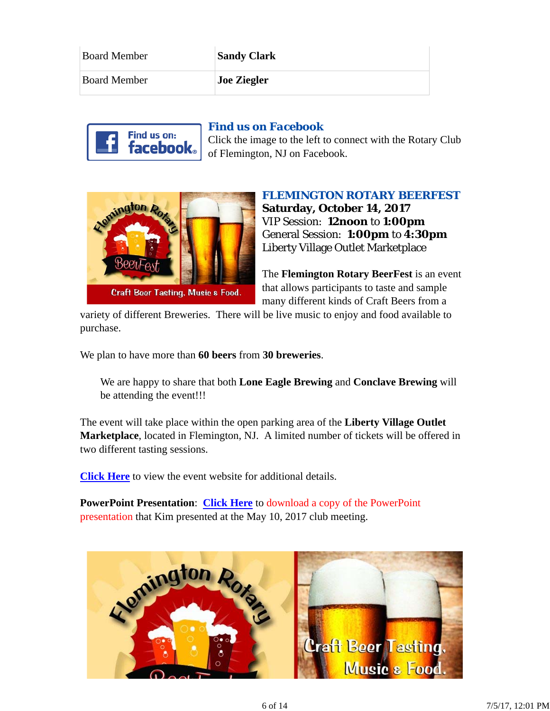| <b>Board Member</b> | <b>Sandy Clark</b> |
|---------------------|--------------------|
| <b>Board Member</b> | <b>Joe Ziegler</b> |



#### *Find us on Facebook*

Click the image to the left to connect with the Rotary Club of Flemington, NJ on Facebook.



#### *FLEMINGTON ROTARY BEERFEST*

**Saturday, October 14, 2017** VIP Session: **12noon** to **1:00pm** General Session: **1:00pm** to **4:30pm** Liberty Village Outlet Marketplace

The **Flemington Rotary BeerFest** is an event that allows participants to taste and sample many different kinds of Craft Beers from a

variety of different Breweries. There will be live music to enjoy and food available to purchase.

We plan to have more than **60 beers** from **30 breweries**.

We are happy to share that both **Lone Eagle Brewing** and **Conclave Brewing** will be attending the event!!!

The event will take place within the open parking area of the **Liberty Village Outlet Marketplace**, located in Flemington, NJ. A limited number of tickets will be offered in two different tasting sessions.

**Click Here** to view the event website for additional details.

**PowerPoint Presentation**: **Click Here** to download a copy of the PowerPoint presentation that Kim presented at the May 10, 2017 club meeting.

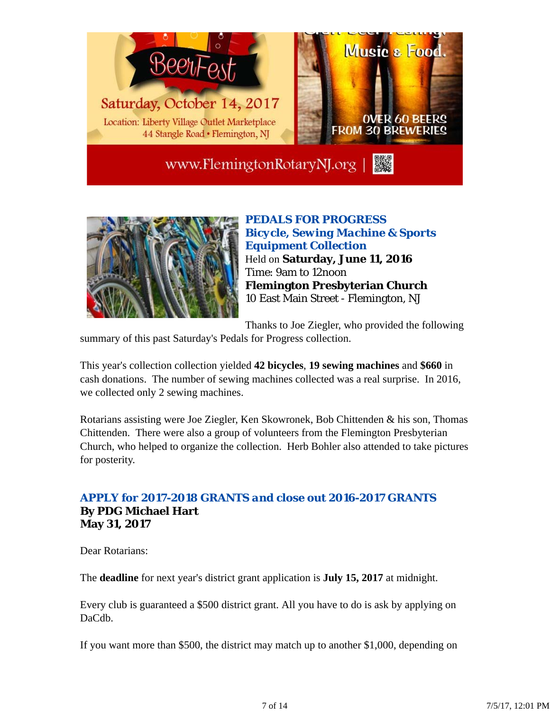

www.FlemingtonRotaryNJ.org



*PEDALS FOR PROGRESS Bicycle, Sewing Machine & Sports Equipment Collection* Held on **Saturday, June 11, 2016** Time: 9am to 12noon **Flemington Presbyterian Church** 10 East Main Street - Flemington, NJ

Thanks to Joe Ziegler, who provided the following

summary of this past Saturday's Pedals for Progress collection.

This year's collection collection yielded **42 bicycles**, **19 sewing machines** and **\$660** in cash donations. The number of sewing machines collected was a real surprise. In 2016, we collected only 2 sewing machines.

Rotarians assisting were Joe Ziegler, Ken Skowronek, Bob Chittenden & his son, Thomas Chittenden. There were also a group of volunteers from the Flemington Presbyterian Church, who helped to organize the collection. Herb Bohler also attended to take pictures for posterity.

#### *APPLY for 2017-2018 GRANTS and close out 2016-2017 GRANTS* **By PDG Michael Hart May 31, 2017**

Dear Rotarians:

The **deadline** for next year's district grant application is **July 15, 2017** at midnight.

Every club is guaranteed a \$500 district grant. All you have to do is ask by applying on DaCdb.

If you want more than \$500, the district may match up to another \$1,000, depending on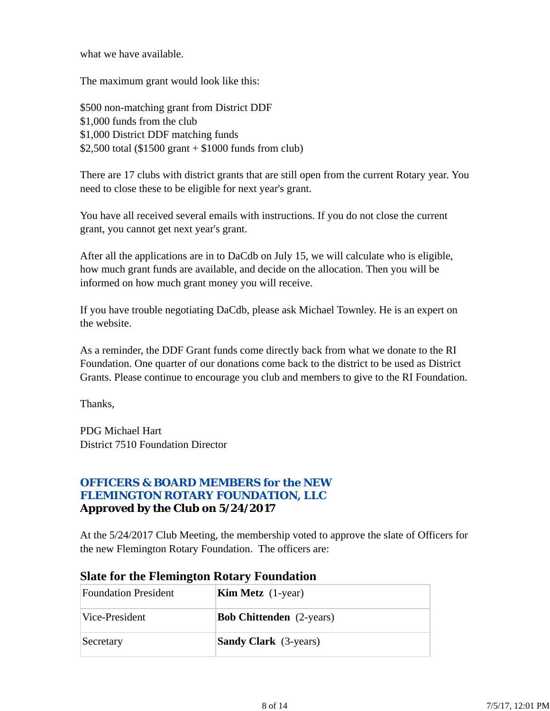what we have available.

The maximum grant would look like this:

\$500 non-matching grant from District DDF \$1,000 funds from the club \$1,000 District DDF matching funds \$2,500 total (\$1500 grant  $+$  \$1000 funds from club)

There are 17 clubs with district grants that are still open from the current Rotary year. You need to close these to be eligible for next year's grant.

You have all received several emails with instructions. If you do not close the current grant, you cannot get next year's grant.

After all the applications are in to DaCdb on July 15, we will calculate who is eligible, how much grant funds are available, and decide on the allocation. Then you will be informed on how much grant money you will receive.

If you have trouble negotiating DaCdb, please ask Michael Townley. He is an expert on the website.

As a reminder, the DDF Grant funds come directly back from what we donate to the RI Foundation. One quarter of our donations come back to the district to be used as District Grants. Please continue to encourage you club and members to give to the RI Foundation.

Thanks,

PDG Michael Hart District 7510 Foundation Director

#### *OFFICERS & BOARD MEMBERS for the NEW FLEMINGTON ROTARY FOUNDATION, LLC* **Approved by the Club on 5/24/2017**

At the 5/24/2017 Club Meeting, the membership voted to approve the slate of Officers for the new Flemington Rotary Foundation. The officers are:

| <b>Foundation President</b> | <b>Kim Metz</b> $(1$ -year)     |
|-----------------------------|---------------------------------|
| Vice-President              | <b>Bob Chittenden</b> (2-years) |
| Secretary                   | <b>Sandy Clark</b> (3-years)    |

#### **Slate for the Flemington Rotary Foundation**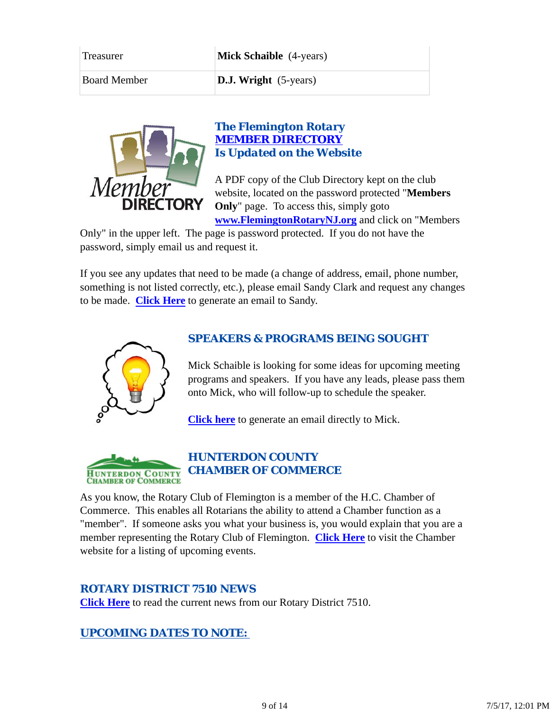| <b>Treasurer</b>    | <b>Mick Schaible</b> (4-years) |  |
|---------------------|--------------------------------|--|
| <b>Board Member</b> | <b>D.J. Wright</b> (5-years)   |  |



#### *The Flemington Rotary MEMBER DIRECTORY Is Updated on the Website*

A PDF copy of the Club Directory kept on the club website, located on the password protected "**Members Only**" page. To access this, simply goto **www.FlemingtonRotaryNJ.org** and click on "Members

Only" in the upper left. The page is password protected. If you do not have the password, simply email us and request it.

If you see any updates that need to be made (a change of address, email, phone number, something is not listed correctly, etc.), please email Sandy Clark and request any changes to be made. **Click Here** to generate an email to Sandy.



#### *SPEAKERS & PROGRAMS BEING SOUGHT*

Mick Schaible is looking for some ideas for upcoming meeting programs and speakers. If you have any leads, please pass them onto Mick, who will follow-up to schedule the speaker.

**Click here** to generate an email directly to Mick.



As you know, the Rotary Club of Flemington is a member of the H.C. Chamber of Commerce. This enables all Rotarians the ability to attend a Chamber function as a "member". If someone asks you what your business is, you would explain that you are a member representing the Rotary Club of Flemington. **Click Here** to visit the Chamber website for a listing of upcoming events.

#### *ROTARY DISTRICT 7510 NEWS*

**Click Here** to read the current news from our Rotary District 7510.

#### *UPCOMING DATES TO NOTE:*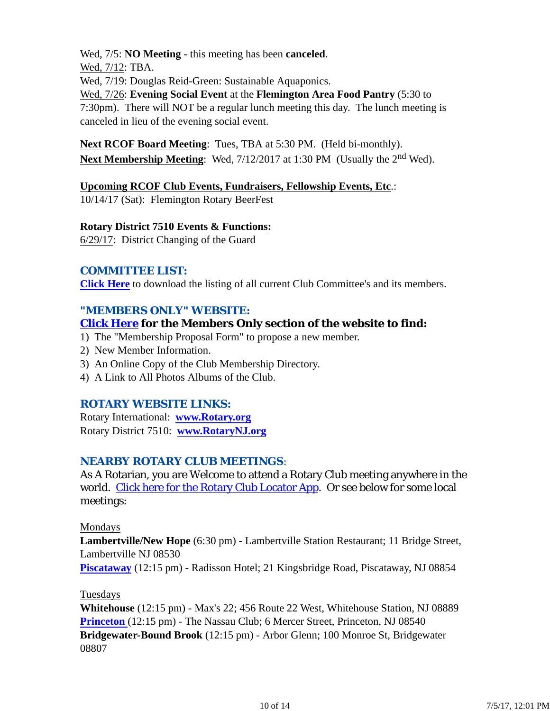Wed, 7/5: **NO Meeting** - this meeting has been **canceled**.

Wed, 7/12: TBA.

Wed, 7/19: Douglas Reid-Green: Sustainable Aquaponics.

Wed, 7/26: **Evening Social Event** at the **Flemington Area Food Pantry** (5:30 to 7:30pm). There will NOT be a regular lunch meeting this day. The lunch meeting is canceled in lieu of the evening social event.

**Next RCOF Board Meeting**: Tues, TBA at 5:30 PM. (Held bi-monthly). **Next Membership Meeting:** Wed,  $7/12/2017$  at 1:30 PM (Usually the 2<sup>nd</sup> Wed).

**Upcoming RCOF Club Events, Fundraisers, Fellowship Events, Etc**.:

10/14/17 (Sat): Flemington Rotary BeerFest

#### **Rotary District 7510 Events & Functions:**

6/29/17: District Changing of the Guard

#### *COMMITTEE LIST:*

**Click Here** to download the listing of all current Club Committee's and its members.

## *"MEMBERS ONLY" WEBSITE:*

## **Click Here for the Members Only section of the website to find:**

- 1) The "Membership Proposal Form" to propose a new member.
- 2) New Member Information.
- 3) An Online Copy of the Club Membership Directory.
- 4) A Link to All Photos Albums of the Club.

## *ROTARY WEBSITE LINKS:*

Rotary International: **www.Rotary.org** Rotary District 7510: **www.RotaryNJ.org**

## *NEARBY ROTARY CLUB MEETINGS:*

As A Rotarian, you are Welcome to attend a Rotary Club meeting anywhere in the world. Click here for the Rotary Club Locator App. Or see below for some local meetings:

#### Mondays

**Lambertville/New Hope** (6:30 pm) - Lambertville Station Restaurant; 11 Bridge Street, Lambertville NJ 08530

**Piscataway** (12:15 pm) - Radisson Hotel; 21 Kingsbridge Road, Piscataway, NJ 08854

#### Tuesdays

**Whitehouse** (12:15 pm) - Max's 22; 456 Route 22 West, Whitehouse Station, NJ 08889 **Princeton** (12:15 pm) - The Nassau Club; 6 Mercer Street, Princeton, NJ 08540 **Bridgewater-Bound Brook** (12:15 pm) - Arbor Glenn; 100 Monroe St, Bridgewater 08807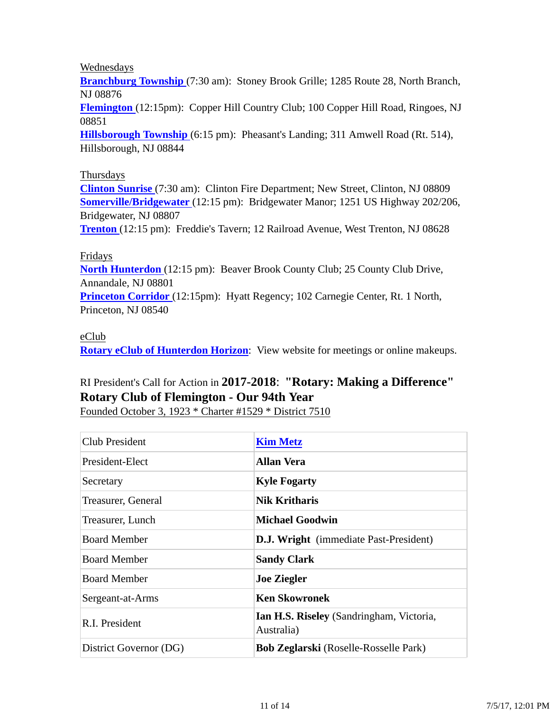Wednesdays

**Branchburg Township** (7:30 am): Stoney Brook Grille; 1285 Route 28, North Branch, NJ 08876

**Flemington** (12:15pm): Copper Hill Country Club; 100 Copper Hill Road, Ringoes, NJ 08851

**Hillsborough Township** (6:15 pm): Pheasant's Landing; 311 Amwell Road (Rt. 514), Hillsborough, NJ 08844

#### Thursdays

**Clinton Sunrise** (7:30 am): Clinton Fire Department; New Street, Clinton, NJ 08809 **Somerville/Bridgewater** (12:15 pm): Bridgewater Manor; 1251 US Highway 202/206, Bridgewater, NJ 08807

**Trenton** (12:15 pm): Freddie's Tavern; 12 Railroad Avenue, West Trenton, NJ 08628

#### Fridays

**North Hunterdon** (12:15 pm): Beaver Brook County Club; 25 County Club Drive, Annandale, NJ 08801

**Princeton Corridor** (12:15pm): Hyatt Regency; 102 Carnegie Center, Rt. 1 North, Princeton, NJ 08540

#### eClub

**Rotary eClub of Hunterdon Horizon**: View website for meetings or online makeups.

## RI President's Call for Action in **2017-2018**: **"Rotary: Making a Difference" Rotary Club of Flemington - Our 94th Year**

Founded October 3, 1923 \* Charter #1529 \* District 7510

| Club President         | <b>Kim Metz</b>                                        |  |  |
|------------------------|--------------------------------------------------------|--|--|
| President-Elect        | <b>Allan Vera</b>                                      |  |  |
| Secretary              | <b>Kyle Fogarty</b>                                    |  |  |
| Treasurer, General     | <b>Nik Kritharis</b>                                   |  |  |
| Treasurer, Lunch       | Michael Goodwin                                        |  |  |
| <b>Board Member</b>    | <b>D.J. Wright</b> (immediate Past-President)          |  |  |
| <b>Board Member</b>    | <b>Sandy Clark</b>                                     |  |  |
| <b>Board Member</b>    | <b>Joe Ziegler</b>                                     |  |  |
| Sergeant-at-Arms       | <b>Ken Skowronek</b>                                   |  |  |
| R.I. President         | Ian H.S. Riseley (Sandringham, Victoria,<br>Australia) |  |  |
| District Governor (DG) | <b>Bob Zeglarski</b> (Roselle-Rosselle Park)           |  |  |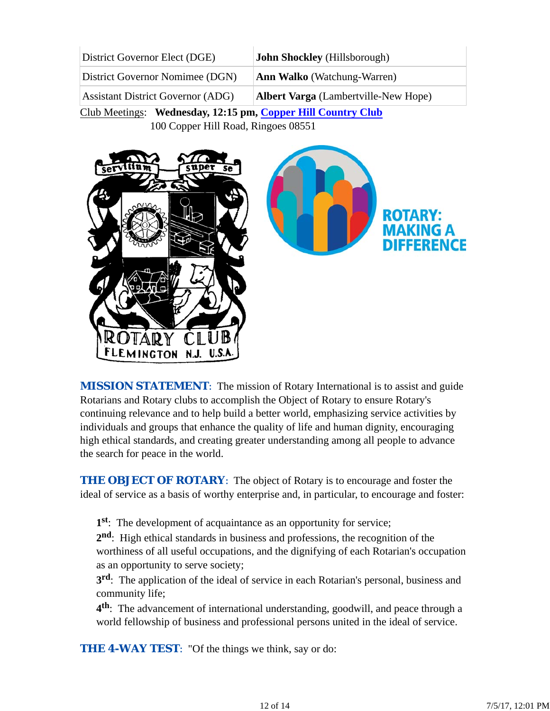| District Governor Elect (DGE)            | <b>John Shockley</b> (Hillsborough)         |  |
|------------------------------------------|---------------------------------------------|--|
| District Governor Nomimee (DGN)          | <b>Ann Walko</b> (Watchung-Warren)          |  |
| <b>Assistant District Governor (ADG)</b> | <b>Albert Varga</b> (Lambertville-New Hope) |  |

Club Meetings: **Wednesday, 12:15 pm, Copper Hill Country Club**

100 Copper Hill Road, Ringoes 08551



*MISSION STATEMENT*: The mission of Rotary International is to assist and guide Rotarians and Rotary clubs to accomplish the Object of Rotary to ensure Rotary's continuing relevance and to help build a better world, emphasizing service activities by individuals and groups that enhance the quality of life and human dignity, encouraging high ethical standards, and creating greater understanding among all people to advance the search for peace in the world.

**THE OBJECT OF ROTARY:** The object of Rotary is to encourage and foster the ideal of service as a basis of worthy enterprise and, in particular, to encourage and foster:

**1st**: The development of acquaintance as an opportunity for service;

**2nd**: High ethical standards in business and professions, the recognition of the worthiness of all useful occupations, and the dignifying of each Rotarian's occupation as an opportunity to serve society;

**3rd**: The application of the ideal of service in each Rotarian's personal, business and community life;

**4th**: The advancement of international understanding, goodwill, and peace through a world fellowship of business and professional persons united in the ideal of service.

**THE 4-WAY TEST:** "Of the things we think, say or do: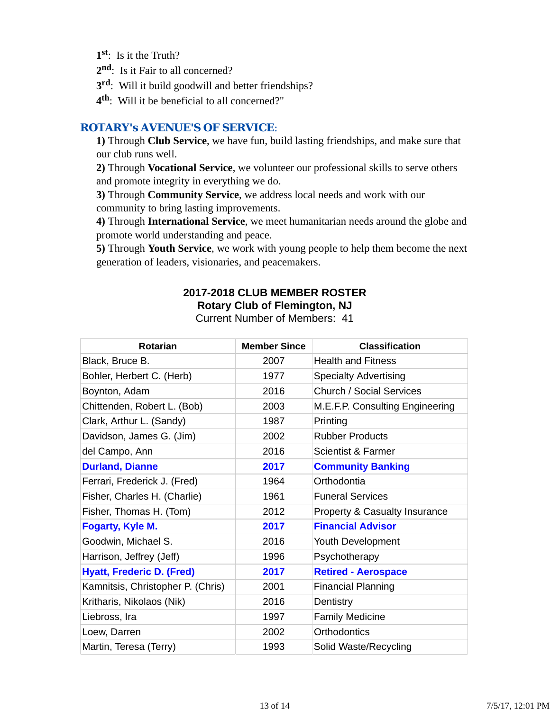- **1st**: Is it the Truth?
- 2<sup>nd</sup>: Is it Fair to all concerned?
- **3rd**: Will it build goodwill and better friendships?
- **4th**: Will it be beneficial to all concerned?"

#### *ROTARY's AVENUE'S OF SERVICE*:

**1)** Through **Club Service**, we have fun, build lasting friendships, and make sure that our club runs well.

**2)** Through **Vocational Service**, we volunteer our professional skills to serve others and promote integrity in everything we do.

**3)** Through **Community Service**, we address local needs and work with our community to bring lasting improvements.

**4)** Through **International Service**, we meet humanitarian needs around the globe and promote world understanding and peace.

**5)** Through **Youth Service**, we work with young people to help them become the next generation of leaders, visionaries, and peacemakers.

## **2017-2018 CLUB MEMBER ROSTER Rotary Club of Flemington, NJ**

| <b>Rotarian</b>                   | <b>Member Since</b> | <b>Classification</b>           |
|-----------------------------------|---------------------|---------------------------------|
| Black, Bruce B.                   | 2007                | <b>Health and Fitness</b>       |
| Bohler, Herbert C. (Herb)         | 1977                | <b>Specialty Advertising</b>    |
| Boynton, Adam                     | 2016                | <b>Church / Social Services</b> |
| Chittenden, Robert L. (Bob)       | 2003                | M.E.F.P. Consulting Engineering |
| Clark, Arthur L. (Sandy)          | 1987                | Printing                        |
| Davidson, James G. (Jim)          | 2002                | <b>Rubber Products</b>          |
| del Campo, Ann                    | 2016                | Scientist & Farmer              |
| <b>Durland, Dianne</b>            | 2017                | <b>Community Banking</b>        |
| Ferrari, Frederick J. (Fred)      | 1964                | Orthodontia                     |
| Fisher, Charles H. (Charlie)      | 1961                | <b>Funeral Services</b>         |
| Fisher, Thomas H. (Tom)           | 2012                | Property & Casualty Insurance   |
| Fogarty, Kyle M.                  | 2017                | <b>Financial Advisor</b>        |
| Goodwin, Michael S.               | 2016                | Youth Development               |
| Harrison, Jeffrey (Jeff)          | 1996                | Psychotherapy                   |
| <b>Hyatt, Frederic D. (Fred)</b>  | 2017                | <b>Retired - Aerospace</b>      |
| Kamnitsis, Christopher P. (Chris) | 2001                | <b>Financial Planning</b>       |
| Kritharis, Nikolaos (Nik)         | 2016                | Dentistry                       |
| Liebross, Ira                     | 1997                | <b>Family Medicine</b>          |
| Loew, Darren                      | 2002                | Orthodontics                    |
| Martin, Teresa (Terry)            | 1993                | Solid Waste/Recycling           |

Current Number of Members: 41